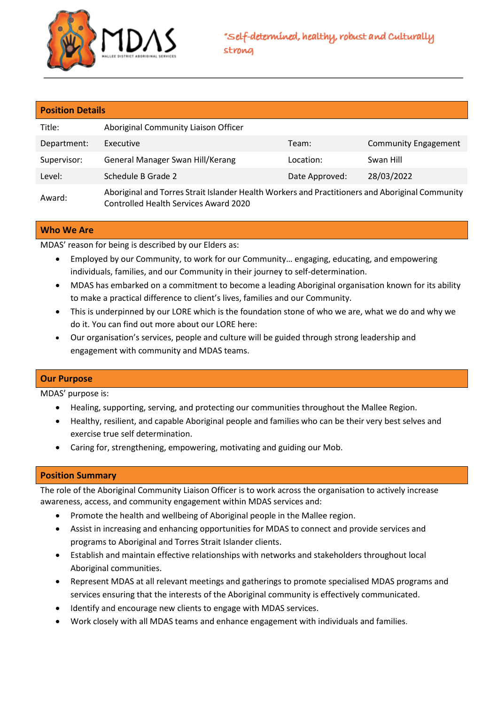

| <b>Position Details</b> |                                                                                                                                          |                |                             |  |  |
|-------------------------|------------------------------------------------------------------------------------------------------------------------------------------|----------------|-----------------------------|--|--|
| Title:                  | Aboriginal Community Liaison Officer                                                                                                     |                |                             |  |  |
| Department:             | Executive                                                                                                                                | Team:          | <b>Community Engagement</b> |  |  |
| Supervisor:             | General Manager Swan Hill/Kerang                                                                                                         | Location:      | Swan Hill                   |  |  |
| Level:                  | Schedule B Grade 2                                                                                                                       | Date Approved: | 28/03/2022                  |  |  |
| Award:                  | Aboriginal and Torres Strait Islander Health Workers and Practitioners and Aboriginal Community<br>Controlled Health Services Award 2020 |                |                             |  |  |

## **Who We Are**

MDAS' reason for being is described by our Elders as:

- Employed by our Community, to work for our Community… engaging, educating, and empowering individuals, families, and our Community in their journey to self-determination.
- MDAS has embarked on a commitment to become a leading Aboriginal organisation known for its ability to make a practical difference to client's lives, families and our Community.
- This is underpinned by our LORE which is the foundation stone of who we are, what we do and why we do it. You can find out more about our LORE here:
- Our organisation's services, people and culture will be guided through strong leadership and engagement with community and MDAS teams.

## **Our Purpose**

MDAS' purpose is:

- Healing, supporting, serving, and protecting our communities throughout the Mallee Region.
- Healthy, resilient, and capable Aboriginal people and families who can be their very best selves and exercise true self determination.
- Caring for, strengthening, empowering, motivating and guiding our Mob.

## **Position Summary**

The role of the Aboriginal Community Liaison Officer is to work across the organisation to actively increase awareness, access, and community engagement within MDAS services and:

- Promote the health and wellbeing of Aboriginal people in the Mallee region.
- Assist in increasing and enhancing opportunities for MDAS to connect and provide services and programs to Aboriginal and Torres Strait Islander clients.
- Establish and maintain effective relationships with networks and stakeholders throughout local Aboriginal communities.
- Represent MDAS at all relevant meetings and gatherings to promote specialised MDAS programs and services ensuring that the interests of the Aboriginal community is effectively communicated.
- Identify and encourage new clients to engage with MDAS services.
- Work closely with all MDAS teams and enhance engagement with individuals and families.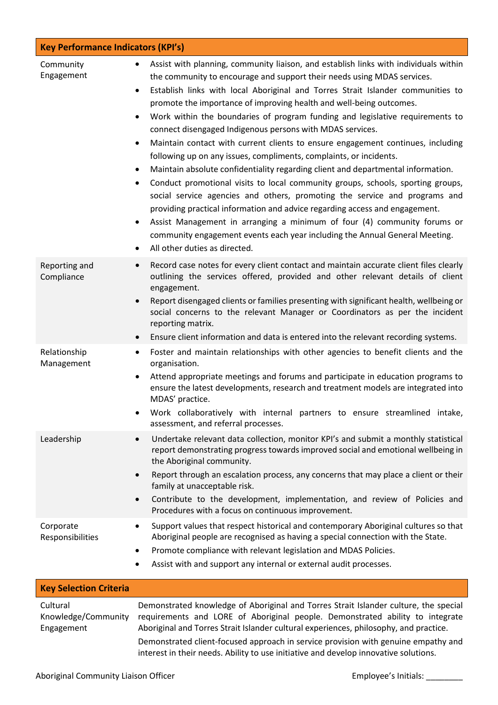| <b>Key Performance Indicators (KPI's)</b>     |                                                                                                                                                                                                                                                                                                                                                                                                                                                                                                                                                                                                                                                                                                                                                                                                                                                                                                                                                                                                                                                                                                                                                                                                                                                  |  |  |
|-----------------------------------------------|--------------------------------------------------------------------------------------------------------------------------------------------------------------------------------------------------------------------------------------------------------------------------------------------------------------------------------------------------------------------------------------------------------------------------------------------------------------------------------------------------------------------------------------------------------------------------------------------------------------------------------------------------------------------------------------------------------------------------------------------------------------------------------------------------------------------------------------------------------------------------------------------------------------------------------------------------------------------------------------------------------------------------------------------------------------------------------------------------------------------------------------------------------------------------------------------------------------------------------------------------|--|--|
| Community<br>Engagement                       | Assist with planning, community liaison, and establish links with individuals within<br>$\bullet$<br>the community to encourage and support their needs using MDAS services.<br>Establish links with local Aboriginal and Torres Strait Islander communities to<br>$\bullet$<br>promote the importance of improving health and well-being outcomes.<br>Work within the boundaries of program funding and legislative requirements to<br>$\bullet$<br>connect disengaged Indigenous persons with MDAS services.<br>Maintain contact with current clients to ensure engagement continues, including<br>$\bullet$<br>following up on any issues, compliments, complaints, or incidents.<br>Maintain absolute confidentiality regarding client and departmental information.<br>٠<br>Conduct promotional visits to local community groups, schools, sporting groups,<br>$\bullet$<br>social service agencies and others, promoting the service and programs and<br>providing practical information and advice regarding access and engagement.<br>Assist Management in arranging a minimum of four (4) community forums or<br>٠<br>community engagement events each year including the Annual General Meeting.<br>All other duties as directed.<br>٠ |  |  |
| Reporting and<br>Compliance                   | Record case notes for every client contact and maintain accurate client files clearly<br>$\bullet$<br>outlining the services offered, provided and other relevant details of client<br>engagement.<br>Report disengaged clients or families presenting with significant health, wellbeing or<br>$\bullet$<br>social concerns to the relevant Manager or Coordinators as per the incident<br>reporting matrix.<br>Ensure client information and data is entered into the relevant recording systems.<br>$\bullet$                                                                                                                                                                                                                                                                                                                                                                                                                                                                                                                                                                                                                                                                                                                                 |  |  |
| Relationship<br>Management                    | Foster and maintain relationships with other agencies to benefit clients and the<br>$\bullet$<br>organisation.<br>Attend appropriate meetings and forums and participate in education programs to<br>$\bullet$<br>ensure the latest developments, research and treatment models are integrated into<br>MDAS' practice.<br>Work collaboratively with internal partners to ensure streamlined intake,<br>$\bullet$<br>assessment, and referral processes.                                                                                                                                                                                                                                                                                                                                                                                                                                                                                                                                                                                                                                                                                                                                                                                          |  |  |
| Leadership                                    | Undertake relevant data collection, monitor KPI's and submit a monthly statistical<br>$\bullet$<br>report demonstrating progress towards improved social and emotional wellbeing in<br>the Aboriginal community.<br>Report through an escalation process, any concerns that may place a client or their<br>$\bullet$<br>family at unacceptable risk.<br>Contribute to the development, implementation, and review of Policies and<br>$\bullet$<br>Procedures with a focus on continuous improvement.                                                                                                                                                                                                                                                                                                                                                                                                                                                                                                                                                                                                                                                                                                                                             |  |  |
| Corporate<br>Responsibilities                 | Support values that respect historical and contemporary Aboriginal cultures so that<br>٠<br>Aboriginal people are recognised as having a special connection with the State.<br>Promote compliance with relevant legislation and MDAS Policies.<br>٠<br>Assist with and support any internal or external audit processes.<br>٠                                                                                                                                                                                                                                                                                                                                                                                                                                                                                                                                                                                                                                                                                                                                                                                                                                                                                                                    |  |  |
| <b>Key Selection Criteria</b>                 |                                                                                                                                                                                                                                                                                                                                                                                                                                                                                                                                                                                                                                                                                                                                                                                                                                                                                                                                                                                                                                                                                                                                                                                                                                                  |  |  |
| Cultural<br>Knowledge/Community<br>Engagement | Demonstrated knowledge of Aboriginal and Torres Strait Islander culture, the special<br>requirements and LORE of Aboriginal people. Demonstrated ability to integrate<br>Aboriginal and Torres Strait Islander cultural experiences, philosophy, and practice.<br>Demonstrated client-focused approach in service provision with genuine empathy and                                                                                                                                                                                                                                                                                                                                                                                                                                                                                                                                                                                                                                                                                                                                                                                                                                                                                             |  |  |

interest in their needs. Ability to use initiative and develop innovative solutions.

Aboriginal Community Liaison Officer **Employee's Initials:** \_\_\_\_\_\_\_\_\_\_\_\_\_\_\_\_\_\_\_\_\_